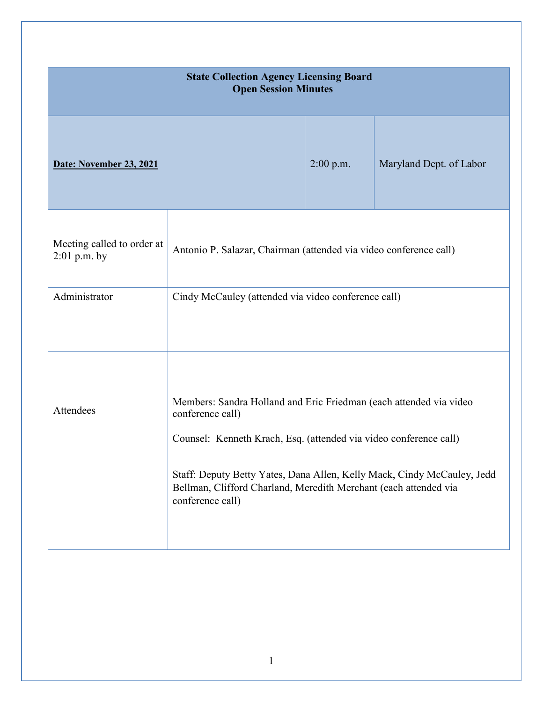| <b>State Collection Agency Licensing Board</b><br><b>Open Session Minutes</b> |                                                                                                                                                                                                                                                                                                                                |             |                         |
|-------------------------------------------------------------------------------|--------------------------------------------------------------------------------------------------------------------------------------------------------------------------------------------------------------------------------------------------------------------------------------------------------------------------------|-------------|-------------------------|
| Date: November 23, 2021                                                       |                                                                                                                                                                                                                                                                                                                                | $2:00$ p.m. | Maryland Dept. of Labor |
| Meeting called to order at<br>$2:01$ p.m. by                                  | Antonio P. Salazar, Chairman (attended via video conference call)                                                                                                                                                                                                                                                              |             |                         |
| Administrator                                                                 | Cindy McCauley (attended via video conference call)                                                                                                                                                                                                                                                                            |             |                         |
| Attendees                                                                     | Members: Sandra Holland and Eric Friedman (each attended via video<br>conference call)<br>Counsel: Kenneth Krach, Esq. (attended via video conference call)<br>Staff: Deputy Betty Yates, Dana Allen, Kelly Mack, Cindy McCauley, Jedd<br>Bellman, Clifford Charland, Meredith Merchant (each attended via<br>conference call) |             |                         |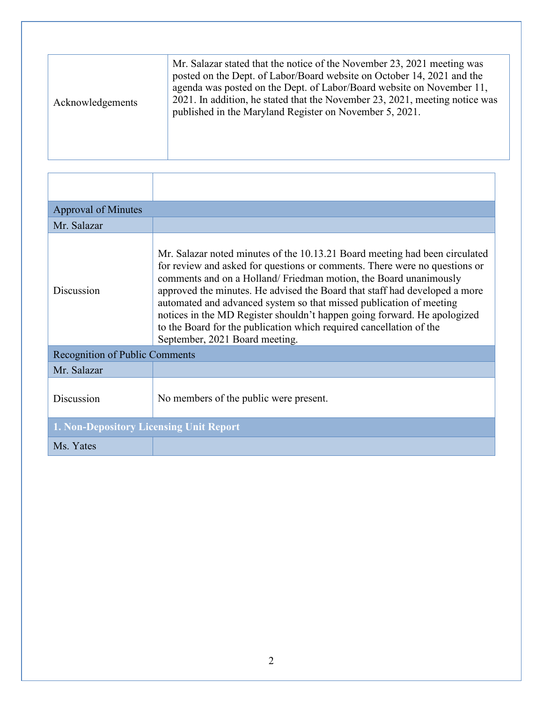| Acknowledgements | Mr. Salazar stated that the notice of the November 23, 2021 meeting was<br>posted on the Dept. of Labor/Board website on October 14, 2021 and the<br>agenda was posted on the Dept. of Labor/Board website on November 11,<br>2021. In addition, he stated that the November 23, 2021, meeting notice was<br>published in the Maryland Register on November 5, 2021. |
|------------------|----------------------------------------------------------------------------------------------------------------------------------------------------------------------------------------------------------------------------------------------------------------------------------------------------------------------------------------------------------------------|

| <b>Approval of Minutes</b>                     |                                                                                                                                                                                                                                                                                                                                                                                                                                                                                                                                                                         |  |
|------------------------------------------------|-------------------------------------------------------------------------------------------------------------------------------------------------------------------------------------------------------------------------------------------------------------------------------------------------------------------------------------------------------------------------------------------------------------------------------------------------------------------------------------------------------------------------------------------------------------------------|--|
| Mr. Salazar                                    |                                                                                                                                                                                                                                                                                                                                                                                                                                                                                                                                                                         |  |
| Discussion                                     | Mr. Salazar noted minutes of the 10.13.21 Board meeting had been circulated<br>for review and asked for questions or comments. There were no questions or<br>comments and on a Holland/Friedman motion, the Board unanimously<br>approved the minutes. He advised the Board that staff had developed a more<br>automated and advanced system so that missed publication of meeting<br>notices in the MD Register shouldn't happen going forward. He apologized<br>to the Board for the publication which required cancellation of the<br>September, 2021 Board meeting. |  |
| <b>Recognition of Public Comments</b>          |                                                                                                                                                                                                                                                                                                                                                                                                                                                                                                                                                                         |  |
| Mr. Salazar                                    |                                                                                                                                                                                                                                                                                                                                                                                                                                                                                                                                                                         |  |
| Discussion                                     | No members of the public were present.                                                                                                                                                                                                                                                                                                                                                                                                                                                                                                                                  |  |
| <b>1. Non-Depository Licensing Unit Report</b> |                                                                                                                                                                                                                                                                                                                                                                                                                                                                                                                                                                         |  |
| Ms. Yates                                      |                                                                                                                                                                                                                                                                                                                                                                                                                                                                                                                                                                         |  |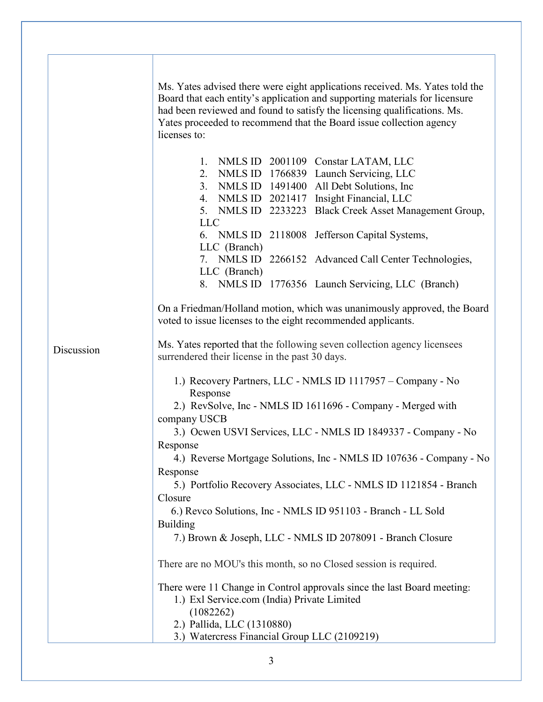|            | Ms. Yates advised there were eight applications received. Ms. Yates told the<br>Board that each entity's application and supporting materials for licensure<br>had been reviewed and found to satisfy the licensing qualifications. Ms.<br>Yates proceeded to recommend that the Board issue collection agency<br>licenses to: |  |
|------------|--------------------------------------------------------------------------------------------------------------------------------------------------------------------------------------------------------------------------------------------------------------------------------------------------------------------------------|--|
|            | NMLS ID 2001109 Constar LATAM, LLC<br>1.<br>2.<br>NMLS ID 1766839 Launch Servicing, LLC                                                                                                                                                                                                                                        |  |
|            | NMLS ID 1491400 All Debt Solutions, Inc.<br>3.                                                                                                                                                                                                                                                                                 |  |
|            | NMLS ID 2021417 Insight Financial, LLC<br>4.                                                                                                                                                                                                                                                                                   |  |
|            | 5. NMLS ID 2233223 Black Creek Asset Management Group,                                                                                                                                                                                                                                                                         |  |
|            | <b>LLC</b>                                                                                                                                                                                                                                                                                                                     |  |
|            | 6. NMLS ID 2118008 Jefferson Capital Systems,                                                                                                                                                                                                                                                                                  |  |
|            | LLC (Branch)                                                                                                                                                                                                                                                                                                                   |  |
|            | 7. NMLS ID 2266152 Advanced Call Center Technologies,                                                                                                                                                                                                                                                                          |  |
|            | LLC (Branch)                                                                                                                                                                                                                                                                                                                   |  |
|            | 8. NMLS ID 1776356 Launch Servicing, LLC (Branch)                                                                                                                                                                                                                                                                              |  |
|            |                                                                                                                                                                                                                                                                                                                                |  |
|            | On a Friedman/Holland motion, which was unanimously approved, the Board<br>voted to issue licenses to the eight recommended applicants.                                                                                                                                                                                        |  |
| Discussion | Ms. Yates reported that the following seven collection agency licensees<br>surrendered their license in the past 30 days.                                                                                                                                                                                                      |  |
|            | 1.) Recovery Partners, LLC - NMLS ID 1117957 - Company - No<br>Response                                                                                                                                                                                                                                                        |  |
|            | 2.) RevSolve, Inc - NMLS ID 1611696 - Company - Merged with<br>company USCB                                                                                                                                                                                                                                                    |  |
|            | 3.) Ocwen USVI Services, LLC - NMLS ID 1849337 - Company - No                                                                                                                                                                                                                                                                  |  |
|            | Response                                                                                                                                                                                                                                                                                                                       |  |
|            | 4.) Reverse Mortgage Solutions, Inc - NMLS ID 107636 - Company - No                                                                                                                                                                                                                                                            |  |
|            | Response                                                                                                                                                                                                                                                                                                                       |  |
|            | 5.) Portfolio Recovery Associates, LLC - NMLS ID 1121854 - Branch                                                                                                                                                                                                                                                              |  |
|            | Closure                                                                                                                                                                                                                                                                                                                        |  |
|            | 6.) Revco Solutions, Inc - NMLS ID 951103 - Branch - LL Sold                                                                                                                                                                                                                                                                   |  |
|            | <b>Building</b>                                                                                                                                                                                                                                                                                                                |  |
|            | 7.) Brown & Joseph, LLC - NMLS ID 2078091 - Branch Closure                                                                                                                                                                                                                                                                     |  |
|            | There are no MOU's this month, so no Closed session is required.                                                                                                                                                                                                                                                               |  |
|            | There were 11 Change in Control approvals since the last Board meeting:                                                                                                                                                                                                                                                        |  |
|            | 1.) Exl Service.com (India) Private Limited                                                                                                                                                                                                                                                                                    |  |
|            | (1082262)                                                                                                                                                                                                                                                                                                                      |  |
|            | 2.) Pallida, LLC (1310880)                                                                                                                                                                                                                                                                                                     |  |
|            | 3.) Watercress Financial Group LLC (2109219)                                                                                                                                                                                                                                                                                   |  |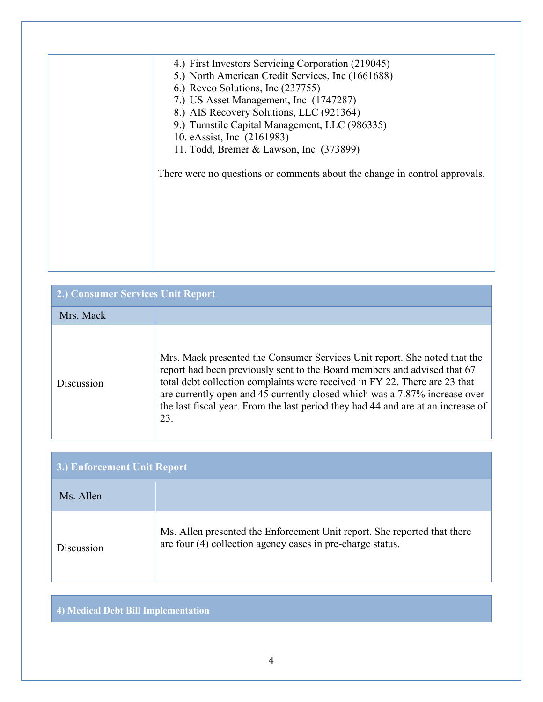| 4.) First Investors Servicing Corporation (219045)                         |
|----------------------------------------------------------------------------|
| 5.) North American Credit Services, Inc (1661688)                          |
| 6.) Reveo Solutions, Inc (237755)                                          |
| 7.) US Asset Management, Inc (1747287)                                     |
| 8.) AIS Recovery Solutions, LLC (921364)                                   |
| 9.) Turnstile Capital Management, LLC (986335)                             |
| 10. eAssist, Inc. (2161983)                                                |
| 11. Todd, Bremer & Lawson, Inc (373899)                                    |
|                                                                            |
| There were no questions or comments about the change in control approvals. |
|                                                                            |
|                                                                            |
|                                                                            |
|                                                                            |
|                                                                            |
|                                                                            |
|                                                                            |
|                                                                            |

| 2.) Consumer Services Unit Report |                                                                                                                                                                                                                                                                                                                                                                                                              |  |
|-----------------------------------|--------------------------------------------------------------------------------------------------------------------------------------------------------------------------------------------------------------------------------------------------------------------------------------------------------------------------------------------------------------------------------------------------------------|--|
| Mrs. Mack                         |                                                                                                                                                                                                                                                                                                                                                                                                              |  |
| Discussion                        | Mrs. Mack presented the Consumer Services Unit report. She noted that the<br>report had been previously sent to the Board members and advised that 67<br>total debt collection complaints were received in FY 22. There are 23 that<br>are currently open and 45 currently closed which was a 7.87% increase over<br>the last fiscal year. From the last period they had 44 and are at an increase of<br>23. |  |

| 3.) Enforcement Unit Report |                                                                                                                                        |  |
|-----------------------------|----------------------------------------------------------------------------------------------------------------------------------------|--|
| Ms. Allen                   |                                                                                                                                        |  |
| Discussion                  | Ms. Allen presented the Enforcement Unit report. She reported that there<br>are four (4) collection agency cases in pre-charge status. |  |

## **4) Medical Debt Bill Implementation**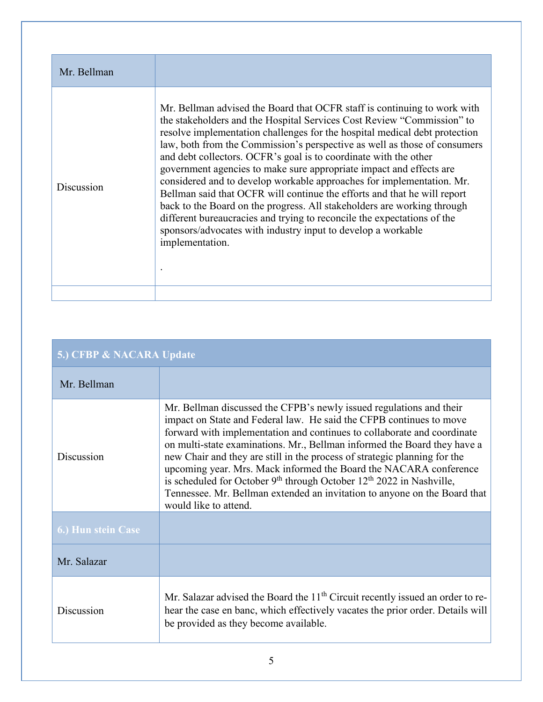| Mr. Bellman |                                                                                                                                                                                                                                                                                                                                                                                                                                                                                                                                                                                                                                                                                                                                                                                                                                                        |
|-------------|--------------------------------------------------------------------------------------------------------------------------------------------------------------------------------------------------------------------------------------------------------------------------------------------------------------------------------------------------------------------------------------------------------------------------------------------------------------------------------------------------------------------------------------------------------------------------------------------------------------------------------------------------------------------------------------------------------------------------------------------------------------------------------------------------------------------------------------------------------|
| Discussion  | Mr. Bellman advised the Board that OCFR staff is continuing to work with<br>the stakeholders and the Hospital Services Cost Review "Commission" to<br>resolve implementation challenges for the hospital medical debt protection<br>law, both from the Commission's perspective as well as those of consumers<br>and debt collectors. OCFR's goal is to coordinate with the other<br>government agencies to make sure appropriate impact and effects are<br>considered and to develop workable approaches for implementation. Mr.<br>Bellman said that OCFR will continue the efforts and that he will report<br>back to the Board on the progress. All stakeholders are working through<br>different bureaucracies and trying to reconcile the expectations of the<br>sponsors/advocates with industry input to develop a workable<br>implementation. |
|             |                                                                                                                                                                                                                                                                                                                                                                                                                                                                                                                                                                                                                                                                                                                                                                                                                                                        |

| 5.) CFBP & NACARA Update  |                                                                                                                                                                                                                                                                                                                                                                                                                                                                                                                                                                                                                                       |  |
|---------------------------|---------------------------------------------------------------------------------------------------------------------------------------------------------------------------------------------------------------------------------------------------------------------------------------------------------------------------------------------------------------------------------------------------------------------------------------------------------------------------------------------------------------------------------------------------------------------------------------------------------------------------------------|--|
| Mr. Bellman               |                                                                                                                                                                                                                                                                                                                                                                                                                                                                                                                                                                                                                                       |  |
| Discussion                | Mr. Bellman discussed the CFPB's newly issued regulations and their<br>impact on State and Federal law. He said the CFPB continues to move<br>forward with implementation and continues to collaborate and coordinate<br>on multi-state examinations. Mr., Bellman informed the Board they have a<br>new Chair and they are still in the process of strategic planning for the<br>upcoming year. Mrs. Mack informed the Board the NACARA conference<br>is scheduled for October $9th$ through October $12th$ 2022 in Nashville,<br>Tennessee. Mr. Bellman extended an invitation to anyone on the Board that<br>would like to attend. |  |
| <b>6.) Hun stein Case</b> |                                                                                                                                                                                                                                                                                                                                                                                                                                                                                                                                                                                                                                       |  |
| Mr. Salazar               |                                                                                                                                                                                                                                                                                                                                                                                                                                                                                                                                                                                                                                       |  |
| Discussion                | Mr. Salazar advised the Board the 11 <sup>th</sup> Circuit recently issued an order to re-<br>hear the case en banc, which effectively vacates the prior order. Details will<br>be provided as they become available.                                                                                                                                                                                                                                                                                                                                                                                                                 |  |